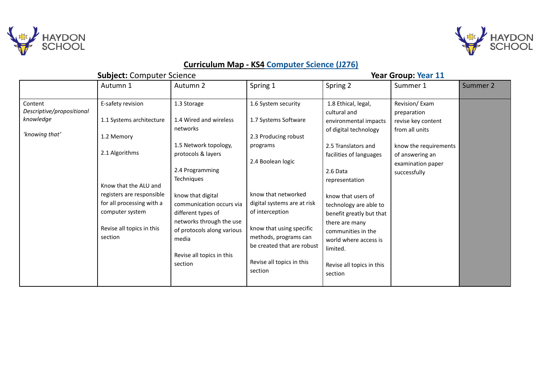



## **Curriculum Map - KS4 Computer Science (J276)**

|                                                                     | <b>Subject: Computer Science</b>                                                                                  |                                                                                                                                                                                |                                                                                                                                                                                                  | <b>Year Group: Year 11</b>                                                                                                                                                                    |                                                                                                                                                       |          |
|---------------------------------------------------------------------|-------------------------------------------------------------------------------------------------------------------|--------------------------------------------------------------------------------------------------------------------------------------------------------------------------------|--------------------------------------------------------------------------------------------------------------------------------------------------------------------------------------------------|-----------------------------------------------------------------------------------------------------------------------------------------------------------------------------------------------|-------------------------------------------------------------------------------------------------------------------------------------------------------|----------|
|                                                                     | Autumn 1                                                                                                          | Autumn 2                                                                                                                                                                       | Spring 1                                                                                                                                                                                         | Spring 2                                                                                                                                                                                      | Summer 1                                                                                                                                              | Summer 2 |
| Content<br>Descriptive/propositional<br>knowledge<br>'knowing that' | E-safety revision<br>1.1 Systems architecture<br>1.2 Memory<br>2.1 Algorithms<br>Know that the ALU and            | 1.3 Storage<br>1.4 Wired and wireless<br>networks<br>1.5 Network topology,<br>protocols & layers<br>2.4 Programming<br><b>Techniques</b>                                       | 1.6 System security<br>1.7 Systems Software<br>2.3 Producing robust<br>programs<br>2.4 Boolean logic                                                                                             | 1.8 Ethical, legal,<br>cultural and<br>environmental impacts<br>of digital technology<br>2.5 Translators and<br>facilities of languages<br>2.6 Data<br>representation                         | Revision/Exam<br>preparation<br>revise key content<br>from all units<br>know the requirements<br>of answering an<br>examination paper<br>successfully |          |
|                                                                     | registers are responsible<br>for all processing with a<br>computer system<br>Revise all topics in this<br>section | know that digital<br>communication occurs via<br>different types of<br>networks through the use<br>of protocols along various<br>media<br>Revise all topics in this<br>section | know that networked<br>digital systems are at risk<br>of interception<br>know that using specific<br>methods, programs can<br>be created that are robust<br>Revise all topics in this<br>section | know that users of<br>technology are able to<br>benefit greatly but that<br>there are many<br>communities in the<br>world where access is<br>limited.<br>Revise all topics in this<br>section |                                                                                                                                                       |          |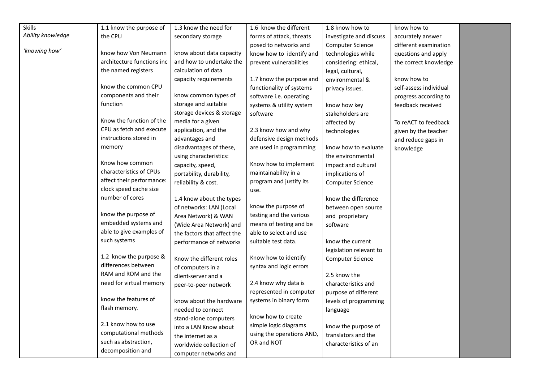| Skills            | 1.1 know the purpose of    | 1.3 know the need for       | 1.6 know the different    | 1.8 know how to         | know how to            |  |
|-------------------|----------------------------|-----------------------------|---------------------------|-------------------------|------------------------|--|
| Ability knowledge | the CPU                    | secondary storage           | forms of attack, threats  | investigate and discuss | accurately answer      |  |
|                   |                            |                             | posed to networks and     | Computer Science        | different examination  |  |
| 'knowing how'     | know how Von Neumann       | know about data capacity    | know how to identify and  | technologies while      | questions and apply    |  |
|                   | architecture functions inc | and how to undertake the    | prevent vulnerabilities   | considering: ethical,   | the correct knowledge  |  |
|                   | the named registers        | calculation of data         |                           | legal, cultural,        |                        |  |
|                   |                            | capacity requirements       | 1.7 know the purpose and  | environmental &         | know how to            |  |
|                   | know the common CPU        |                             | functionality of systems  | privacy issues.         | self-assess individual |  |
|                   | components and their       | know common types of        | software i.e. operating   |                         | progress according to  |  |
|                   | function                   | storage and suitable        | systems & utility system  | know how key            | feedback received      |  |
|                   |                            | storage devices & storage   | software                  | stakeholders are        |                        |  |
|                   | Know the function of the   | media for a given           |                           | affected by             | To reACT to feedback   |  |
|                   | CPU as fetch and execute   | application, and the        | 2.3 know how and why      | technologies            | given by the teacher   |  |
|                   | instructions stored in     | advantages and              | defensive design methods  |                         | and reduce gaps in     |  |
|                   | memory                     | disadvantages of these,     | are used in programming   | know how to evaluate    | knowledge              |  |
|                   |                            | using characteristics:      |                           | the environmental       |                        |  |
|                   | Know how common            | capacity, speed,            | Know how to implement     | impact and cultural     |                        |  |
|                   | characteristics of CPUs    | portability, durability,    | maintainability in a      | implications of         |                        |  |
|                   | affect their performance:  | reliability & cost.         | program and justify its   | <b>Computer Science</b> |                        |  |
|                   | clock speed cache size     |                             | use.                      |                         |                        |  |
|                   | number of cores            | 1.4 know about the types    |                           | know the difference     |                        |  |
|                   |                            | of networks: LAN (Local     | know the purpose of       | between open source     |                        |  |
|                   | know the purpose of        | Area Network) & WAN         | testing and the various   | and proprietary         |                        |  |
|                   | embedded systems and       | (Wide Area Network) and     | means of testing and be   | software                |                        |  |
|                   | able to give examples of   | the factors that affect the | able to select and use    |                         |                        |  |
|                   | such systems               | performance of networks     | suitable test data.       | know the current        |                        |  |
|                   |                            |                             |                           | legislation relevant to |                        |  |
|                   | 1.2 know the purpose &     | Know the different roles    | Know how to identify      | <b>Computer Science</b> |                        |  |
|                   | differences between        | of computers in a           | syntax and logic errors   |                         |                        |  |
|                   | RAM and ROM and the        | client-server and a         |                           | 2.5 know the            |                        |  |
|                   | need for virtual memory    | peer-to-peer network        | 2.4 know why data is      | characteristics and     |                        |  |
|                   |                            |                             | represented in computer   | purpose of different    |                        |  |
|                   | know the features of       | know about the hardware     | systems in binary form    | levels of programming   |                        |  |
|                   | flash memory.              | needed to connect           |                           | language                |                        |  |
|                   |                            | stand-alone computers       | know how to create        |                         |                        |  |
|                   | 2.1 know how to use        | into a LAN Know about       | simple logic diagrams     | know the purpose of     |                        |  |
|                   | computational methods      | the internet as a           | using the operations AND, | translators and the     |                        |  |
|                   | such as abstraction,       | worldwide collection of     | OR and NOT                | characteristics of an   |                        |  |
|                   | decomposition and          | computer networks and       |                           |                         |                        |  |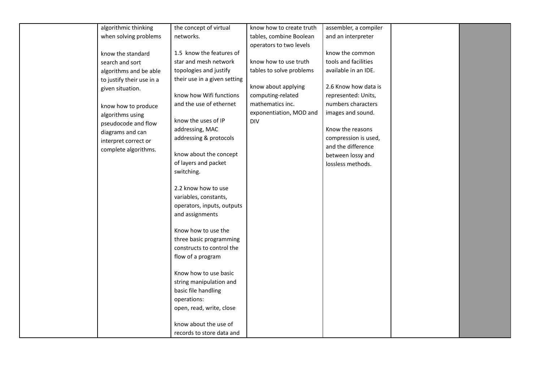| algorithmic thinking      | the concept of virtual       | know how to create truth | assembler, a compiler |  |
|---------------------------|------------------------------|--------------------------|-----------------------|--|
| when solving problems     | networks.                    | tables, combine Boolean  | and an interpreter    |  |
|                           |                              |                          |                       |  |
| know the standard         | 1.5 know the features of     | operators to two levels  | know the common       |  |
| search and sort           | star and mesh network        | know how to use truth    | tools and facilities  |  |
|                           | topologies and justify       | tables to solve problems | available in an IDE.  |  |
| algorithms and be able    | their use in a given setting |                          |                       |  |
| to justify their use in a |                              | know about applying      | 2.6 Know how data is  |  |
| given situation.          | know how Wifi functions      | computing-related        | represented: Units,   |  |
|                           | and the use of ethernet      | mathematics inc.         | numbers characters    |  |
| know how to produce       |                              | exponentiation, MOD and  | images and sound.     |  |
| algorithms using          | know the uses of IP          | <b>DIV</b>               |                       |  |
| pseudocode and flow       | addressing, MAC              |                          | Know the reasons      |  |
| diagrams and can          | addressing & protocols       |                          | compression is used,  |  |
| interpret correct or      |                              |                          | and the difference    |  |
| complete algorithms.      | know about the concept       |                          | between lossy and     |  |
|                           | of layers and packet         |                          | lossless methods.     |  |
|                           | switching.                   |                          |                       |  |
|                           |                              |                          |                       |  |
|                           | 2.2 know how to use          |                          |                       |  |
|                           | variables, constants,        |                          |                       |  |
|                           | operators, inputs, outputs   |                          |                       |  |
|                           | and assignments              |                          |                       |  |
|                           |                              |                          |                       |  |
|                           | Know how to use the          |                          |                       |  |
|                           | three basic programming      |                          |                       |  |
|                           | constructs to control the    |                          |                       |  |
|                           | flow of a program            |                          |                       |  |
|                           |                              |                          |                       |  |
|                           | Know how to use basic        |                          |                       |  |
|                           | string manipulation and      |                          |                       |  |
|                           | basic file handling          |                          |                       |  |
|                           | operations:                  |                          |                       |  |
|                           | open, read, write, close     |                          |                       |  |
|                           |                              |                          |                       |  |
|                           | know about the use of        |                          |                       |  |
|                           | records to store data and    |                          |                       |  |
|                           |                              |                          |                       |  |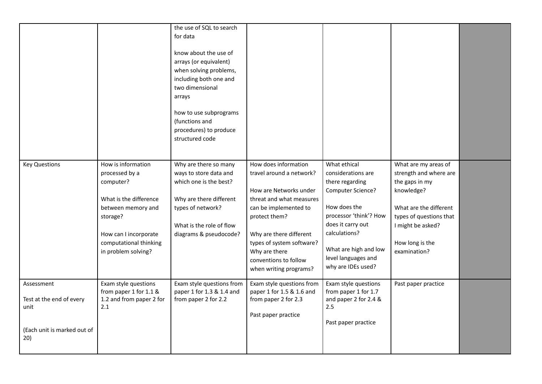|                                                                                      |                                                                                                                                                                                         | the use of SQL to search<br>for data<br>know about the use of<br>arrays (or equivalent)<br>when solving problems,<br>including both one and<br>two dimensional<br>arrays<br>how to use subprograms<br>(functions and<br>procedures) to produce<br>structured code |                                                                                                                                                                                                                                                                              |                                                                                                                                                                                                                                  |                                                                                                                                                                                             |  |
|--------------------------------------------------------------------------------------|-----------------------------------------------------------------------------------------------------------------------------------------------------------------------------------------|-------------------------------------------------------------------------------------------------------------------------------------------------------------------------------------------------------------------------------------------------------------------|------------------------------------------------------------------------------------------------------------------------------------------------------------------------------------------------------------------------------------------------------------------------------|----------------------------------------------------------------------------------------------------------------------------------------------------------------------------------------------------------------------------------|---------------------------------------------------------------------------------------------------------------------------------------------------------------------------------------------|--|
| <b>Key Questions</b>                                                                 | How is information<br>processed by a<br>computer?<br>What is the difference<br>between memory and<br>storage?<br>How can I incorporate<br>computational thinking<br>in problem solving? | Why are there so many<br>ways to store data and<br>which one is the best?<br>Why are there different<br>types of network?<br>What is the role of flow<br>diagrams & pseudocode?                                                                                   | How does information<br>travel around a network?<br>How are Networks under<br>threat and what measures<br>can be implemented to<br>protect them?<br>Why are there different<br>types of system software?<br>Why are there<br>conventions to follow<br>when writing programs? | What ethical<br>considerations are<br>there regarding<br>Computer Science?<br>How does the<br>processor 'think'? How<br>does it carry out<br>calculations?<br>What are high and low<br>level languages and<br>why are IDEs used? | What are my areas of<br>strength and where are<br>the gaps in my<br>knowledge?<br>What are the different<br>types of questions that<br>I might be asked?<br>How long is the<br>examination? |  |
| Assessment<br>Test at the end of every<br>unit<br>(Each unit is marked out of<br>20) | Exam style questions<br>from paper 1 for 1.1 &<br>1.2 and from paper 2 for<br>2.1                                                                                                       | Exam style questions from<br>paper 1 for 1.3 & 1.4 and<br>from paper 2 for 2.2                                                                                                                                                                                    | Exam style questions from<br>paper 1 for 1.5 & 1.6 and<br>from paper 2 for 2.3<br>Past paper practice                                                                                                                                                                        | Exam style questions<br>from paper 1 for 1.7<br>and paper 2 for 2.4 &<br>2.5<br>Past paper practice                                                                                                                              | Past paper practice                                                                                                                                                                         |  |